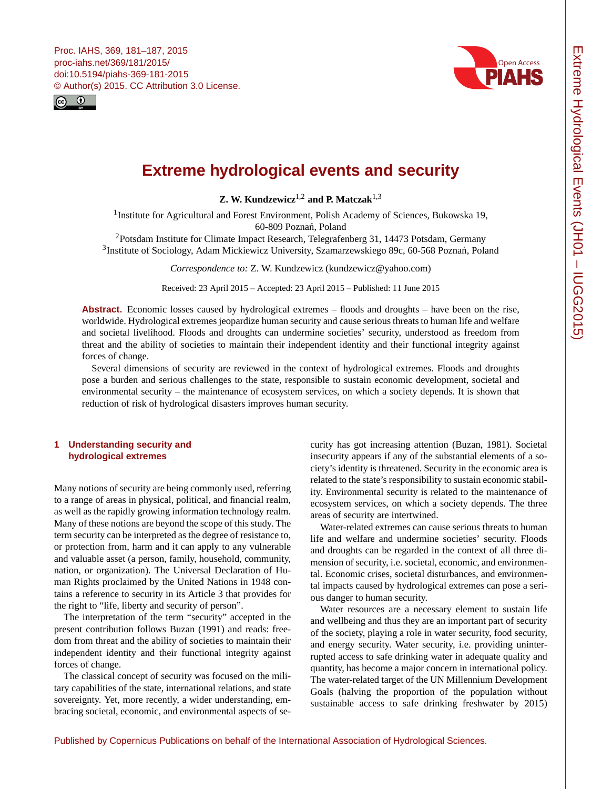<span id="page-0-1"></span>Proc. IAHS, 369, 181–187, 2015 proc-iahs.net/369/181/2015/ doi:10.5194/piahs-369-181-2015 © Author(s) 2015. CC Attribution 3.0 License.





# **Extreme hydrological events and security**

**Z. W. Kundzewicz**[1,2](#page-0-0) **and P. Matczak**[1,3](#page-0-0)

<sup>1</sup> Institute for Agricultural and Forest Environment, Polish Academy of Sciences, Bukowska 19, 60-809 Poznań, Poland

<sup>2</sup>Potsdam Institute for Climate Impact Research, Telegrafenberg 31, 14473 Potsdam, Germany <sup>3</sup>Institute of Sociology, Adam Mickiewicz University, Szamarzewskiego 89c, 60-568 Poznań, Poland

*Correspondence to:* Z. W. Kundzewicz (kundzewicz@yahoo.com)

Received: 23 April 2015 – Accepted: 23 April 2015 – Published: 11 June 2015

Abstract. Economic losses caused by hydrological extremes – floods and droughts – have been on the rise, worldwide. Hydrological extremes jeopardize human security and cause serious threats to human life and welfare and societal livelihood. Floods and droughts can undermine societies' security, understood as freedom from threat and the ability of societies to maintain their independent identity and their functional integrity against forces of change.

Several dimensions of security are reviewed in the context of hydrological extremes. Floods and droughts pose a burden and serious challenges to the state, responsible to sustain economic development, societal and environmental security – the maintenance of ecosystem services, on which a society depends. It is shown that reduction of risk of hydrological disasters improves human security.

# <span id="page-0-0"></span>**1 Understanding security and hydrological extremes**

Many notions of security are being commonly used, referring to a range of areas in physical, political, and financial realm, as well as the rapidly growing information technology realm. Many of these notions are beyond the scope of this study. The term security can be interpreted as the degree of resistance to, or protection from, harm and it can apply to any vulnerable and valuable asset (a person, family, household, community, nation, or organization). The Universal Declaration of Human Rights proclaimed by the United Nations in 1948 contains a reference to security in its Article 3 that provides for the right to "life, liberty and security of person".

The interpretation of the term "security" accepted in the present contribution follows Buzan (1991) and reads: freedom from threat and the ability of societies to maintain their independent identity and their functional integrity against forces of change.

The classical concept of security was focused on the military capabilities of the state, international relations, and state sovereignty. Yet, more recently, a wider understanding, embracing societal, economic, and environmental aspects of security has got increasing attention (Buzan, 1981). Societal insecurity appears if any of the substantial elements of a society's identity is threatened. Security in the economic area is related to the state's responsibility to sustain economic stability. Environmental security is related to the maintenance of ecosystem services, on which a society depends. The three areas of security are intertwined.

Water-related extremes can cause serious threats to human life and welfare and undermine societies' security. Floods and droughts can be regarded in the context of all three dimension of security, i.e. societal, economic, and environmental. Economic crises, societal disturbances, and environmental impacts caused by hydrological extremes can pose a serious danger to human security.

Water resources are a necessary element to sustain life and wellbeing and thus they are an important part of security of the society, playing a role in water security, food security, and energy security. Water security, i.e. providing uninterrupted access to safe drinking water in adequate quality and quantity, has become a major concern in international policy. The water-related target of the UN Millennium Development Goals (halving the proportion of the population without sustainable access to safe drinking freshwater by 2015)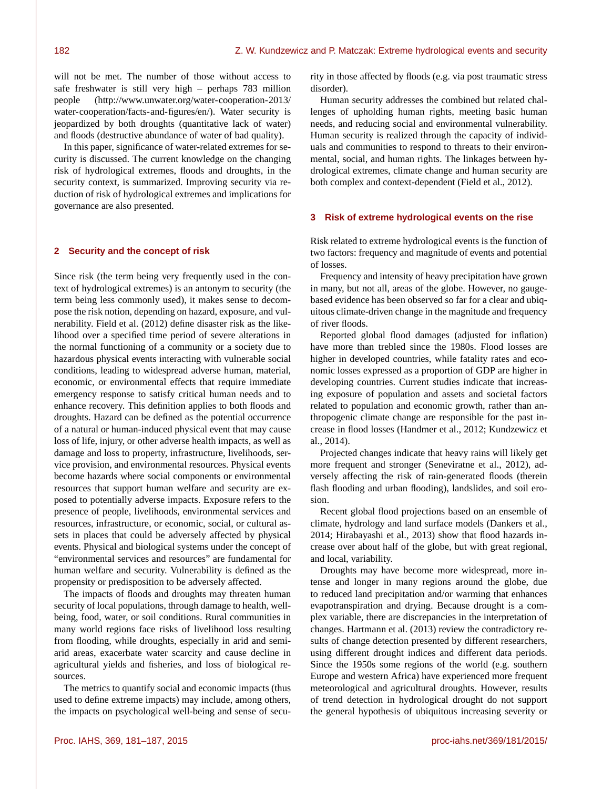will not be met. The number of those without access to safe freshwater is still very high – perhaps 783 million people [\(http://www.unwater.org/water-cooperation-2013/](http://www.unwater.org/water-cooperation-2013/water-cooperation/facts-and-figures/en/) [water-cooperation/facts-and-figures/en/\)](http://www.unwater.org/water-cooperation-2013/water-cooperation/facts-and-figures/en/). Water security is jeopardized by both droughts (quantitative lack of water) and floods (destructive abundance of water of bad quality).

In this paper, significance of water-related extremes for security is discussed. The current knowledge on the changing risk of hydrological extremes, floods and droughts, in the security context, is summarized. Improving security via reduction of risk of hydrological extremes and implications for governance are also presented.

# **2 Security and the concept of risk**

Since risk (the term being very frequently used in the context of hydrological extremes) is an antonym to security (the term being less commonly used), it makes sense to decompose the risk notion, depending on hazard, exposure, and vulnerability. Field et al. (2012) define disaster risk as the likelihood over a specified time period of severe alterations in the normal functioning of a community or a society due to hazardous physical events interacting with vulnerable social conditions, leading to widespread adverse human, material, economic, or environmental effects that require immediate emergency response to satisfy critical human needs and to enhance recovery. This definition applies to both floods and droughts. Hazard can be defined as the potential occurrence of a natural or human-induced physical event that may cause loss of life, injury, or other adverse health impacts, as well as damage and loss to property, infrastructure, livelihoods, service provision, and environmental resources. Physical events become hazards where social components or environmental resources that support human welfare and security are exposed to potentially adverse impacts. Exposure refers to the presence of people, livelihoods, environmental services and resources, infrastructure, or economic, social, or cultural assets in places that could be adversely affected by physical events. Physical and biological systems under the concept of "environmental services and resources" are fundamental for human welfare and security. Vulnerability is defined as the propensity or predisposition to be adversely affected.

The impacts of floods and droughts may threaten human security of local populations, through damage to health, wellbeing, food, water, or soil conditions. Rural communities in many world regions face risks of livelihood loss resulting from flooding, while droughts, especially in arid and semiarid areas, exacerbate water scarcity and cause decline in agricultural yields and fisheries, and loss of biological resources.

The metrics to quantify social and economic impacts (thus used to define extreme impacts) may include, among others, the impacts on psychological well-being and sense of security in those affected by floods (e.g. via post traumatic stress disorder).

Human security addresses the combined but related challenges of upholding human rights, meeting basic human needs, and reducing social and environmental vulnerability. Human security is realized through the capacity of individuals and communities to respond to threats to their environmental, social, and human rights. The linkages between hydrological extremes, climate change and human security are both complex and context-dependent (Field et al., 2012).

## **3 Risk of extreme hydrological events on the rise**

Risk related to extreme hydrological events is the function of two factors: frequency and magnitude of events and potential of losses.

Frequency and intensity of heavy precipitation have grown in many, but not all, areas of the globe. However, no gaugebased evidence has been observed so far for a clear and ubiquitous climate-driven change in the magnitude and frequency of river floods.

Reported global flood damages (adjusted for inflation) have more than trebled since the 1980s. Flood losses are higher in developed countries, while fatality rates and economic losses expressed as a proportion of GDP are higher in developing countries. Current studies indicate that increasing exposure of population and assets and societal factors related to population and economic growth, rather than anthropogenic climate change are responsible for the past increase in flood losses (Handmer et al., 2012; Kundzewicz et al., 2014).

Projected changes indicate that heavy rains will likely get more frequent and stronger (Seneviratne et al., 2012), adversely affecting the risk of rain-generated floods (therein flash flooding and urban flooding), landslides, and soil erosion.

Recent global flood projections based on an ensemble of climate, hydrology and land surface models (Dankers et al., 2014; Hirabayashi et al., 2013) show that flood hazards increase over about half of the globe, but with great regional, and local, variability.

Droughts may have become more widespread, more intense and longer in many regions around the globe, due to reduced land precipitation and/or warming that enhances evapotranspiration and drying. Because drought is a complex variable, there are discrepancies in the interpretation of changes. Hartmann et al. (2013) review the contradictory results of change detection presented by different researchers, using different drought indices and different data periods. Since the 1950s some regions of the world (e.g. southern Europe and western Africa) have experienced more frequent meteorological and agricultural droughts. However, results of trend detection in hydrological drought do not support the general hypothesis of ubiquitous increasing severity or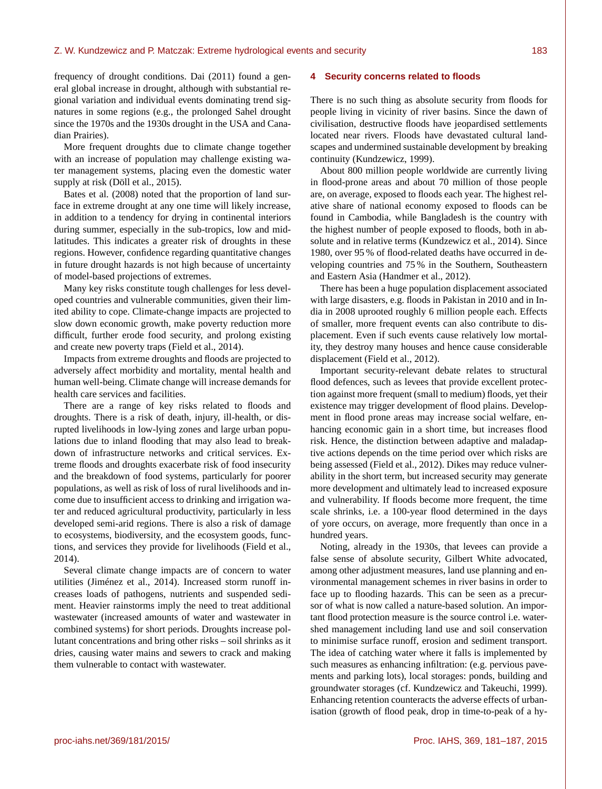frequency of drought conditions. Dai (2011) found a general global increase in drought, although with substantial regional variation and individual events dominating trend signatures in some regions (e.g., the prolonged Sahel drought since the 1970s and the 1930s drought in the USA and Canadian Prairies).

More frequent droughts due to climate change together with an increase of population may challenge existing water management systems, placing even the domestic water supply at risk (Döll et al., 2015).

Bates et al. (2008) noted that the proportion of land surface in extreme drought at any one time will likely increase, in addition to a tendency for drying in continental interiors during summer, especially in the sub-tropics, low and midlatitudes. This indicates a greater risk of droughts in these regions. However, confidence regarding quantitative changes in future drought hazards is not high because of uncertainty of model-based projections of extremes.

Many key risks constitute tough challenges for less developed countries and vulnerable communities, given their limited ability to cope. Climate-change impacts are projected to slow down economic growth, make poverty reduction more difficult, further erode food security, and prolong existing and create new poverty traps (Field et al., 2014).

Impacts from extreme droughts and floods are projected to adversely affect morbidity and mortality, mental health and human well-being. Climate change will increase demands for health care services and facilities.

There are a range of key risks related to floods and droughts. There is a risk of death, injury, ill-health, or disrupted livelihoods in low-lying zones and large urban populations due to inland flooding that may also lead to breakdown of infrastructure networks and critical services. Extreme floods and droughts exacerbate risk of food insecurity and the breakdown of food systems, particularly for poorer populations, as well as risk of loss of rural livelihoods and income due to insufficient access to drinking and irrigation water and reduced agricultural productivity, particularly in less developed semi-arid regions. There is also a risk of damage to ecosystems, biodiversity, and the ecosystem goods, functions, and services they provide for livelihoods (Field et al., 2014).

Several climate change impacts are of concern to water utilities (Jiménez et al., 2014). Increased storm runoff increases loads of pathogens, nutrients and suspended sediment. Heavier rainstorms imply the need to treat additional wastewater (increased amounts of water and wastewater in combined systems) for short periods. Droughts increase pollutant concentrations and bring other risks – soil shrinks as it dries, causing water mains and sewers to crack and making them vulnerable to contact with wastewater.

#### **4 Security concerns related to floods**

There is no such thing as absolute security from floods for people living in vicinity of river basins. Since the dawn of civilisation, destructive floods have jeopardised settlements located near rivers. Floods have devastated cultural landscapes and undermined sustainable development by breaking continuity (Kundzewicz, 1999).

About 800 million people worldwide are currently living in flood-prone areas and about 70 million of those people are, on average, exposed to floods each year. The highest relative share of national economy exposed to floods can be found in Cambodia, while Bangladesh is the country with the highest number of people exposed to floods, both in absolute and in relative terms (Kundzewicz et al., 2014). Since 1980, over 95 % of flood-related deaths have occurred in developing countries and 75 % in the Southern, Southeastern and Eastern Asia (Handmer et al., 2012).

There has been a huge population displacement associated with large disasters, e.g. floods in Pakistan in 2010 and in India in 2008 uprooted roughly 6 million people each. Effects of smaller, more frequent events can also contribute to displacement. Even if such events cause relatively low mortality, they destroy many houses and hence cause considerable displacement (Field et al., 2012).

Important security-relevant debate relates to structural flood defences, such as levees that provide excellent protection against more frequent (small to medium) floods, yet their existence may trigger development of flood plains. Development in flood prone areas may increase social welfare, enhancing economic gain in a short time, but increases flood risk. Hence, the distinction between adaptive and maladaptive actions depends on the time period over which risks are being assessed (Field et al., 2012). Dikes may reduce vulnerability in the short term, but increased security may generate more development and ultimately lead to increased exposure and vulnerability. If floods become more frequent, the time scale shrinks, i.e. a 100-year flood determined in the days of yore occurs, on average, more frequently than once in a hundred years.

Noting, already in the 1930s, that levees can provide a false sense of absolute security, Gilbert White advocated, among other adjustment measures, land use planning and environmental management schemes in river basins in order to face up to flooding hazards. This can be seen as a precursor of what is now called a nature-based solution. An important flood protection measure is the source control i.e. watershed management including land use and soil conservation to minimise surface runoff, erosion and sediment transport. The idea of catching water where it falls is implemented by such measures as enhancing infiltration: (e.g. pervious pavements and parking lots), local storages: ponds, building and groundwater storages (cf. Kundzewicz and Takeuchi, 1999). Enhancing retention counteracts the adverse effects of urbanisation (growth of flood peak, drop in time-to-peak of a hy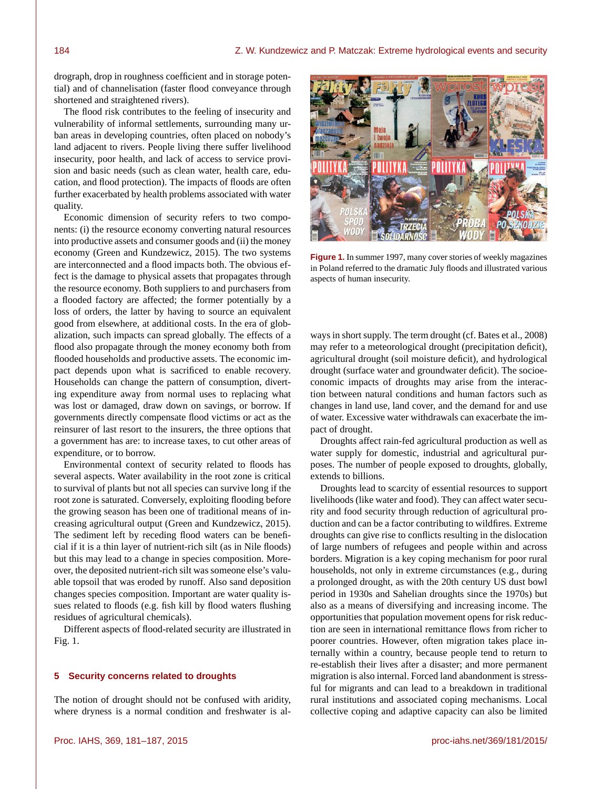drograph, drop in roughness coefficient and in storage potential) and of channelisation (faster flood conveyance through shortened and straightened rivers).

The flood risk contributes to the feeling of insecurity and vulnerability of informal settlements, surrounding many urban areas in developing countries, often placed on nobody's land adjacent to rivers. People living there suffer livelihood insecurity, poor health, and lack of access to service provision and basic needs (such as clean water, health care, education, and flood protection). The impacts of floods are often further exacerbated by health problems associated with water quality.

Economic dimension of security refers to two components: (i) the resource economy converting natural resources into productive assets and consumer goods and (ii) the money economy (Green and Kundzewicz, 2015). The two systems are interconnected and a flood impacts both. The obvious effect is the damage to physical assets that propagates through the resource economy. Both suppliers to and purchasers from a flooded factory are affected; the former potentially by a loss of orders, the latter by having to source an equivalent good from elsewhere, at additional costs. In the era of globalization, such impacts can spread globally. The effects of a flood also propagate through the money economy both from flooded households and productive assets. The economic impact depends upon what is sacrificed to enable recovery. Households can change the pattern of consumption, diverting expenditure away from normal uses to replacing what was lost or damaged, draw down on savings, or borrow. If governments directly compensate flood victims or act as the reinsurer of last resort to the insurers, the three options that a government has are: to increase taxes, to cut other areas of expenditure, or to borrow.

Environmental context of security related to floods has several aspects. Water availability in the root zone is critical to survival of plants but not all species can survive long if the root zone is saturated. Conversely, exploiting flooding before the growing season has been one of traditional means of increasing agricultural output (Green and Kundzewicz, 2015). The sediment left by receding flood waters can be beneficial if it is a thin layer of nutrient-rich silt (as in Nile floods) but this may lead to a change in species composition. Moreover, the deposited nutrient-rich silt was someone else's valuable topsoil that was eroded by runoff. Also sand deposition changes species composition. Important are water quality issues related to floods (e.g. fish kill by flood waters flushing residues of agricultural chemicals).

Different aspects of flood-related security are illustrated in Fig. 1.

#### **5 Security concerns related to droughts**

The notion of drought should not be confused with aridity, where dryness is a normal condition and freshwater is al-



**Figure 1.** In summer 1997, many cover stories of weekly magazines in Poland referred to the dramatic July floods and illustrated various aspects of human insecurity.

ways in short supply. The term drought (cf. Bates et al., 2008) may refer to a meteorological drought (precipitation deficit), agricultural drought (soil moisture deficit), and hydrological drought (surface water and groundwater deficit). The socioeconomic impacts of droughts may arise from the interaction between natural conditions and human factors such as changes in land use, land cover, and the demand for and use of water. Excessive water withdrawals can exacerbate the impact of drought.

Droughts affect rain-fed agricultural production as well as water supply for domestic, industrial and agricultural purposes. The number of people exposed to droughts, globally, extends to billions.

Droughts lead to scarcity of essential resources to support livelihoods (like water and food). They can affect water security and food security through reduction of agricultural production and can be a factor contributing to wildfires. Extreme droughts can give rise to conflicts resulting in the dislocation of large numbers of refugees and people within and across borders. Migration is a key coping mechanism for poor rural households, not only in extreme circumstances (e.g., during a prolonged drought, as with the 20th century US dust bowl period in 1930s and Sahelian droughts since the 1970s) but also as a means of diversifying and increasing income. The opportunities that population movement opens for risk reduction are seen in international remittance flows from richer to poorer countries. However, often migration takes place internally within a country, because people tend to return to re-establish their lives after a disaster; and more permanent migration is also internal. Forced land abandonment is stressful for migrants and can lead to a breakdown in traditional rural institutions and associated coping mechanisms. Local collective coping and adaptive capacity can also be limited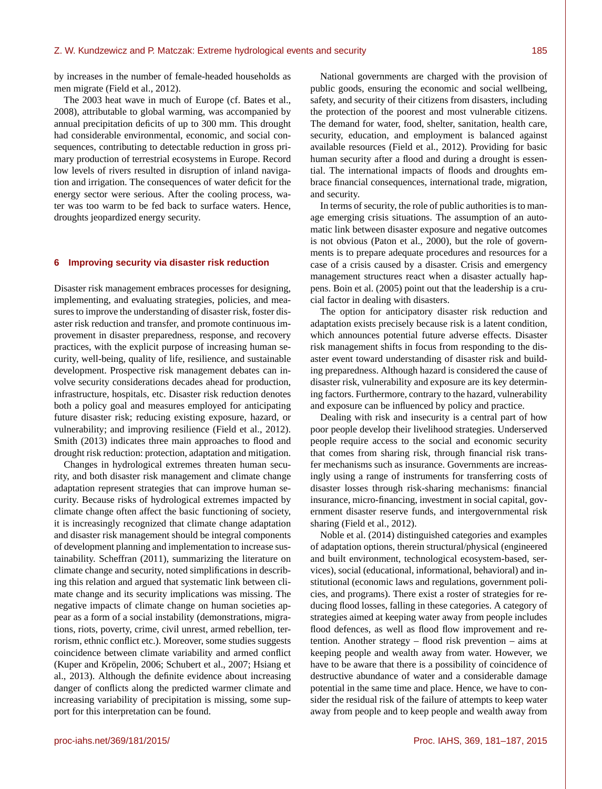by increases in the number of female-headed households as men migrate (Field et al., 2012).

The 2003 heat wave in much of Europe (cf. Bates et al., 2008), attributable to global warming, was accompanied by annual precipitation deficits of up to 300 mm. This drought had considerable environmental, economic, and social consequences, contributing to detectable reduction in gross primary production of terrestrial ecosystems in Europe. Record low levels of rivers resulted in disruption of inland navigation and irrigation. The consequences of water deficit for the energy sector were serious. After the cooling process, water was too warm to be fed back to surface waters. Hence, droughts jeopardized energy security.

#### **6 Improving security via disaster risk reduction**

Disaster risk management embraces processes for designing, implementing, and evaluating strategies, policies, and measures to improve the understanding of disaster risk, foster disaster risk reduction and transfer, and promote continuous improvement in disaster preparedness, response, and recovery practices, with the explicit purpose of increasing human security, well-being, quality of life, resilience, and sustainable development. Prospective risk management debates can involve security considerations decades ahead for production, infrastructure, hospitals, etc. Disaster risk reduction denotes both a policy goal and measures employed for anticipating future disaster risk; reducing existing exposure, hazard, or vulnerability; and improving resilience (Field et al., 2012). Smith (2013) indicates three main approaches to flood and drought risk reduction: protection, adaptation and mitigation.

Changes in hydrological extremes threaten human security, and both disaster risk management and climate change adaptation represent strategies that can improve human security. Because risks of hydrological extremes impacted by climate change often affect the basic functioning of society, it is increasingly recognized that climate change adaptation and disaster risk management should be integral components of development planning and implementation to increase sustainability. Scheffran (2011), summarizing the literature on climate change and security, noted simplifications in describing this relation and argued that systematic link between climate change and its security implications was missing. The negative impacts of climate change on human societies appear as a form of a social instability (demonstrations, migrations, riots, poverty, crime, civil unrest, armed rebellion, terrorism, ethnic conflict etc.). Moreover, some studies suggests coincidence between climate variability and armed conflict (Kuper and Kröpelin, 2006; Schubert et al., 2007; Hsiang et al., 2013). Although the definite evidence about increasing danger of conflicts along the predicted warmer climate and increasing variability of precipitation is missing, some support for this interpretation can be found.

National governments are charged with the provision of public goods, ensuring the economic and social wellbeing, safety, and security of their citizens from disasters, including the protection of the poorest and most vulnerable citizens. The demand for water, food, shelter, sanitation, health care, security, education, and employment is balanced against available resources (Field et al., 2012). Providing for basic human security after a flood and during a drought is essential. The international impacts of floods and droughts embrace financial consequences, international trade, migration, and security.

In terms of security, the role of public authorities is to manage emerging crisis situations. The assumption of an automatic link between disaster exposure and negative outcomes is not obvious (Paton et al., 2000), but the role of governments is to prepare adequate procedures and resources for a case of a crisis caused by a disaster. Crisis and emergency management structures react when a disaster actually happens. Boin et al. (2005) point out that the leadership is a crucial factor in dealing with disasters.

The option for anticipatory disaster risk reduction and adaptation exists precisely because risk is a latent condition, which announces potential future adverse effects. Disaster risk management shifts in focus from responding to the disaster event toward understanding of disaster risk and building preparedness. Although hazard is considered the cause of disaster risk, vulnerability and exposure are its key determining factors. Furthermore, contrary to the hazard, vulnerability and exposure can be influenced by policy and practice.

Dealing with risk and insecurity is a central part of how poor people develop their livelihood strategies. Underserved people require access to the social and economic security that comes from sharing risk, through financial risk transfer mechanisms such as insurance. Governments are increasingly using a range of instruments for transferring costs of disaster losses through risk-sharing mechanisms: financial insurance, micro-financing, investment in social capital, government disaster reserve funds, and intergovernmental risk sharing (Field et al., 2012).

Noble et al. (2014) distinguished categories and examples of adaptation options, therein structural/physical (engineered and built environment, technological ecosystem-based, services), social (educational, informational, behavioral) and institutional (economic laws and regulations, government policies, and programs). There exist a roster of strategies for reducing flood losses, falling in these categories. A category of strategies aimed at keeping water away from people includes flood defences, as well as flood flow improvement and retention. Another strategy – flood risk prevention – aims at keeping people and wealth away from water. However, we have to be aware that there is a possibility of coincidence of destructive abundance of water and a considerable damage potential in the same time and place. Hence, we have to consider the residual risk of the failure of attempts to keep water away from people and to keep people and wealth away from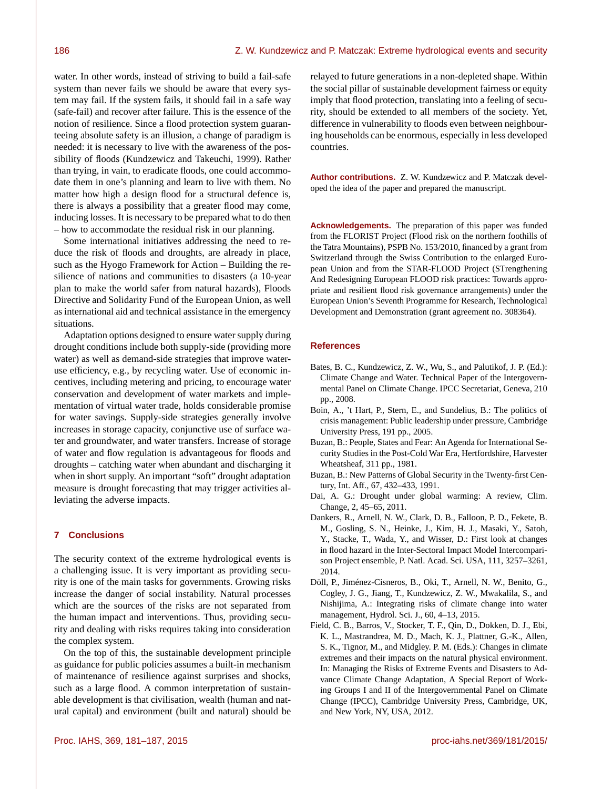water. In other words, instead of striving to build a fail-safe system than never fails we should be aware that every system may fail. If the system fails, it should fail in a safe way (safe-fail) and recover after failure. This is the essence of the notion of resilience. Since a flood protection system guaranteeing absolute safety is an illusion, a change of paradigm is needed: it is necessary to live with the awareness of the possibility of floods (Kundzewicz and Takeuchi, 1999). Rather than trying, in vain, to eradicate floods, one could accommodate them in one's planning and learn to live with them. No matter how high a design flood for a structural defence is, there is always a possibility that a greater flood may come, inducing losses. It is necessary to be prepared what to do then – how to accommodate the residual risk in our planning.

Some international initiatives addressing the need to reduce the risk of floods and droughts, are already in place, such as the Hyogo Framework for Action – Building the resilience of nations and communities to disasters (a 10-year plan to make the world safer from natural hazards), Floods Directive and Solidarity Fund of the European Union, as well as international aid and technical assistance in the emergency situations.

Adaptation options designed to ensure water supply during drought conditions include both supply-side (providing more water) as well as demand-side strategies that improve wateruse efficiency, e.g., by recycling water. Use of economic incentives, including metering and pricing, to encourage water conservation and development of water markets and implementation of virtual water trade, holds considerable promise for water savings. Supply-side strategies generally involve increases in storage capacity, conjunctive use of surface water and groundwater, and water transfers. Increase of storage of water and flow regulation is advantageous for floods and droughts – catching water when abundant and discharging it when in short supply. An important "soft" drought adaptation measure is drought forecasting that may trigger activities alleviating the adverse impacts.

## **7 Conclusions**

The security context of the extreme hydrological events is a challenging issue. It is very important as providing security is one of the main tasks for governments. Growing risks increase the danger of social instability. Natural processes which are the sources of the risks are not separated from the human impact and interventions. Thus, providing security and dealing with risks requires taking into consideration the complex system.

On the top of this, the sustainable development principle as guidance for public policies assumes a built-in mechanism of maintenance of resilience against surprises and shocks, such as a large flood. A common interpretation of sustainable development is that civilisation, wealth (human and natural capital) and environment (built and natural) should be relayed to future generations in a non-depleted shape. Within the social pillar of sustainable development fairness or equity imply that flood protection, translating into a feeling of security, should be extended to all members of the society. Yet, difference in vulnerability to floods even between neighbouring households can be enormous, especially in less developed countries.

**Author contributions.** Z. W. Kundzewicz and P. Matczak developed the idea of the paper and prepared the manuscript.

**Acknowledgements.** The preparation of this paper was funded from the FLORIST Project (Flood risk on the northern foothills of the Tatra Mountains), PSPB No. 153/2010, financed by a grant from Switzerland through the Swiss Contribution to the enlarged European Union and from the STAR-FLOOD Project (STrengthening And Redesigning European FLOOD risk practices: Towards appropriate and resilient flood risk governance arrangements) under the European Union's Seventh Programme for Research, Technological Development and Demonstration (grant agreement no. 308364).

# **References**

- Bates, B. C., Kundzewicz, Z. W., Wu, S., and Palutikof, J. P. (Ed.): Climate Change and Water. Technical Paper of the Intergovernmental Panel on Climate Change. IPCC Secretariat, Geneva, 210 pp., 2008.
- Boin, A., 't Hart, P., Stern, E., and Sundelius, B.: The politics of crisis management: Public leadership under pressure, Cambridge University Press, 191 pp., 2005.
- Buzan, B.: People, States and Fear: An Agenda for International Security Studies in the Post-Cold War Era, Hertfordshire, Harvester Wheatsheaf, 311 pp., 1981.
- Buzan, B.: New Patterns of Global Security in the Twenty-first Century, Int. Aff., 67, 432–433, 1991.
- Dai, A. G.: Drought under global warming: A review, Clim. Change, 2, 45–65, 2011.
- Dankers, R., Arnell, N. W., Clark, D. B., Falloon, P. D., Fekete, B. M., Gosling, S. N., Heinke, J., Kim, H. J., Masaki, Y., Satoh, Y., Stacke, T., Wada, Y., and Wisser, D.: First look at changes in flood hazard in the Inter-Sectoral Impact Model Intercomparison Project ensemble, P. Natl. Acad. Sci. USA, 111, 3257–3261, 2014.
- Döll, P., Jiménez-Cisneros, B., Oki, T., Arnell, N. W., Benito, G., Cogley, J. G., Jiang, T., Kundzewicz, Z. W., Mwakalila, S., and Nishijima, A.: Integrating risks of climate change into water management, Hydrol. Sci. J., 60, 4–13, 2015.
- Field, C. B., Barros, V., Stocker, T. F., Qin, D., Dokken, D. J., Ebi, K. L., Mastrandrea, M. D., Mach, K. J., Plattner, G.-K., Allen, S. K., Tignor, M., and Midgley. P. M. (Eds.): Changes in climate extremes and their impacts on the natural physical environment. In: Managing the Risks of Extreme Events and Disasters to Advance Climate Change Adaptation, A Special Report of Working Groups I and II of the Intergovernmental Panel on Climate Change (IPCC), Cambridge University Press, Cambridge, UK, and New York, NY, USA, 2012.